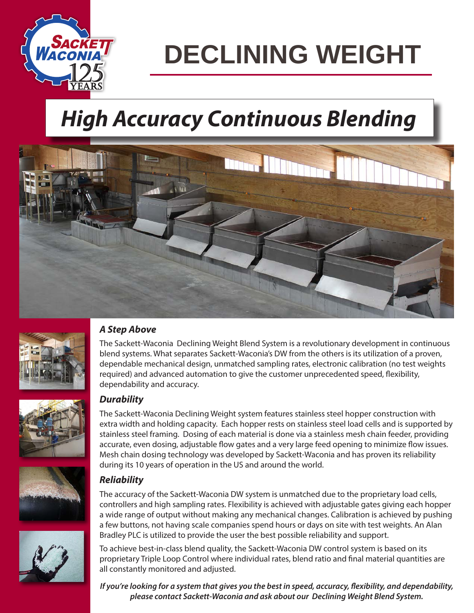

## **DECLINING WEIGHT**

### *High Accuracy Continuous Blending*





The Sackett-Waconia Declining Weight Blend System is a revolutionary development in continuous blend systems. What separates Sackett-Waconia's DW from the others is its utilization of a proven, dependable mechanical design, unmatched sampling rates, electronic calibration (no test weights required) and advanced automation to give the customer unprecedented speed, flexibility, dependability and accuracy.







### *Durability*

The Sackett-Waconia Declining Weight system features stainless steel hopper construction with extra width and holding capacity. Each hopper rests on stainless steel load cells and is supported by stainless steel framing. Dosing of each material is done via a stainless mesh chain feeder, providing accurate, even dosing, adjustable flow gates and a very large feed opening to minimize flow issues. Mesh chain dosing technology was developed by Sackett-Waconia and has proven its reliability during its 10 years of operation in the US and around the world.

### *Reliability*

The accuracy of the Sackett-Waconia DW system is unmatched due to the proprietary load cells, controllers and high sampling rates. Flexibility is achieved with adjustable gates giving each hopper a wide range of output without making any mechanical changes. Calibration is achieved by pushing a few buttons, not having scale companies spend hours or days on site with test weights. An Alan Bradley PLC is utilized to provide the user the best possible reliability and support.

To achieve best-in-class blend quality, the Sackett-Waconia DW control system is based on its proprietary Triple Loop Control where individual rates, blend ratio and final material quantities are all constantly monitored and adjusted.

*If you're looking for a system that gives you the best in speed, accuracy, flexibility, and dependability, please contact Sackett-Waconia and ask about our Declining Weight Blend System.*